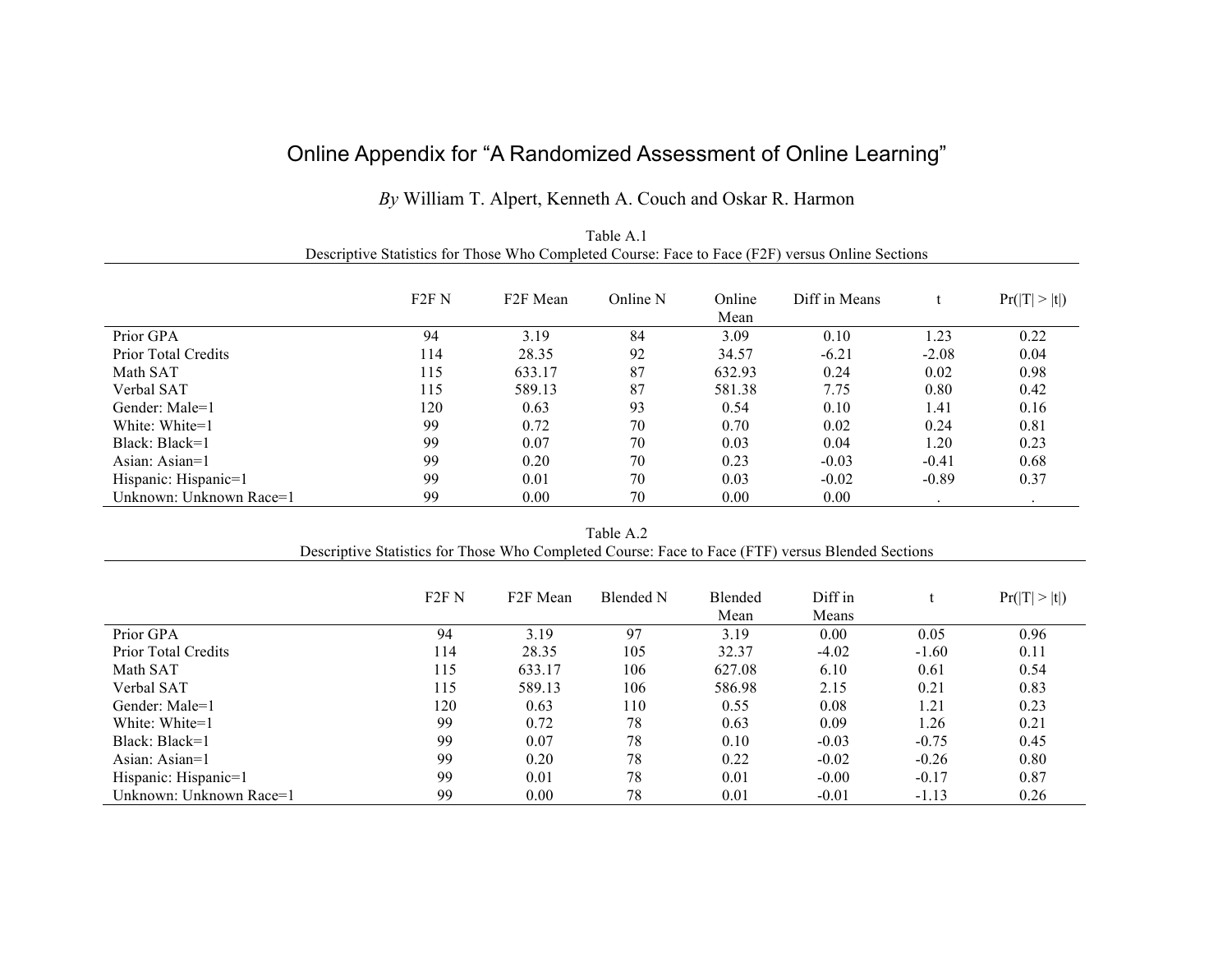## Online Appendix for "A Randomized Assessment of Online Learning"

## *By* William T. Alpert, Kenneth A. Couch and Oskar R. Harmon

|                                                                                                  |                   |                       | Table A.1 |                |               |         |                      |  |
|--------------------------------------------------------------------------------------------------|-------------------|-----------------------|-----------|----------------|---------------|---------|----------------------|--|
| Descriptive Statistics for Those Who Completed Course: Face to Face (F2F) versus Online Sections |                   |                       |           |                |               |         |                      |  |
|                                                                                                  | F <sub>2F</sub> N | F <sub>2</sub> F Mean | Online N  | Online<br>Mean | Diff in Means |         | Pr( T  >  t )        |  |
| Prior GPA                                                                                        | 94                | 3.19                  | 84        | 3.09           | 0.10          | 1.23    | 0.22                 |  |
| <b>Prior Total Credits</b>                                                                       | 114               | 28.35                 | 92        | 34.57          | $-6.21$       | $-2.08$ | 0.04                 |  |
| Math SAT                                                                                         | 115               | 633.17                | 87        | 632.93         | 0.24          | 0.02    | 0.98                 |  |
| Verbal SAT                                                                                       | 115               | 589.13                | 87        | 581.38         | 7.75          | 0.80    | 0.42                 |  |
| Gender: Male=1                                                                                   | 120               | 0.63                  | 93        | 0.54           | 0.10          | 1.41    | 0.16                 |  |
| White: White=1                                                                                   | 99                | 0.72                  | 70        | 0.70           | 0.02          | 0.24    | 0.81                 |  |
| Black: Black=1                                                                                   | 99                | 0.07                  | 70        | 0.03           | 0.04          | 1.20    | 0.23                 |  |
| Asian: Asian=1                                                                                   | 99                | 0.20                  | 70        | 0.23           | $-0.03$       | $-0.41$ | 0.68                 |  |
| Hispanic: Hispanic=1                                                                             | 99                | 0.01                  | 70        | 0.03           | $-0.02$       | $-0.89$ | 0.37                 |  |
| Unknown: Unknown Race=1                                                                          | 99                | 0.00                  | 70        | 0.00           | 0.00          | $\cdot$ | $\ddot{\phantom{0}}$ |  |
|                                                                                                  |                   |                       | Table A.2 |                |               |         |                      |  |

| Table A.2                                                                                         |
|---------------------------------------------------------------------------------------------------|
| Descriptive Statistics for Those Who Completed Course: Face to Face (FTF) versus Blended Sections |

|                            | F <sub>2F</sub> N | F <sub>2F</sub> Mean | Blended N | <b>Blended</b><br>Mean | Diff in<br>Means |         | Pr( T  >  t ) |
|----------------------------|-------------------|----------------------|-----------|------------------------|------------------|---------|---------------|
| Prior GPA                  | 94                | 3.19                 | 97        | 3.19                   | 0.00             | 0.05    | 0.96          |
| <b>Prior Total Credits</b> | 114               | 28.35                | 105       | 32.37                  | $-4.02$          | $-1.60$ | 0.11          |
| Math SAT                   | 115               | 633.17               | 106       | 627.08                 | 6.10             | 0.61    | 0.54          |
| Verbal SAT                 | 115               | 589.13               | 106       | 586.98                 | 2.15             | 0.21    | 0.83          |
| Gender: Male=1             | 120               | 0.63                 | 110       | 0.55                   | 0.08             | 1.21    | 0.23          |
| White: White=1             | 99                | 0.72                 | 78        | 0.63                   | 0.09             | 1.26    | 0.21          |
| Black: Black=1             | 99                | 0.07                 | 78        | 0.10                   | $-0.03$          | $-0.75$ | 0.45          |
| Asian: $\text{Asian=1}$    | 99                | 0.20                 | 78        | 0.22                   | $-0.02$          | $-0.26$ | 0.80          |
| Hispanic: Hispanic=1       | 99                | 0.01                 | 78        | 0.01                   | $-0.00$          | $-0.17$ | 0.87          |
| Unknown: Unknown Race=1    | 99                | 0.00                 | 78        | 0.01                   | $-0.01$          | $-1.13$ | 0.26          |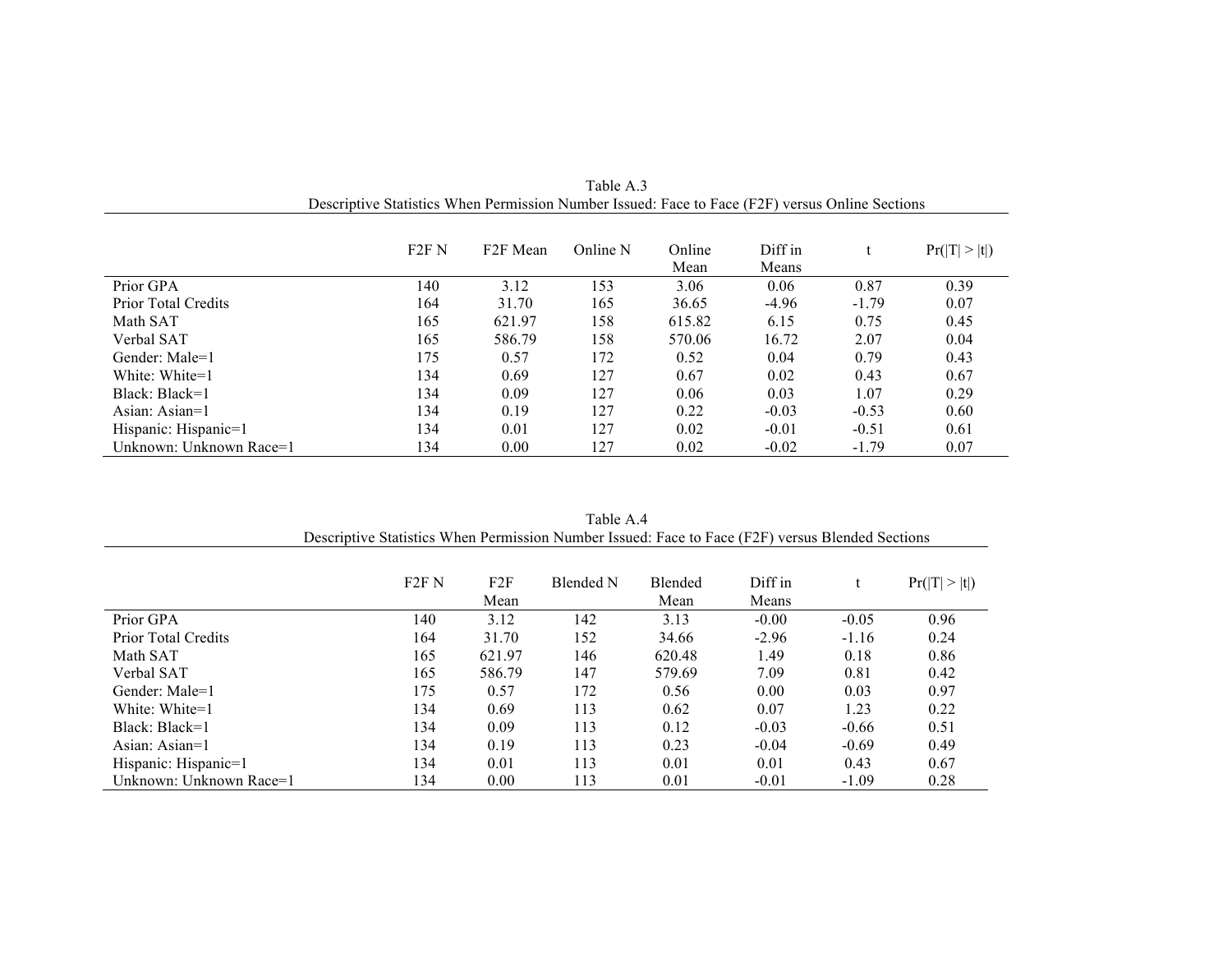|                            | F <sub>2F</sub> N | F <sub>2</sub> F Mean | Online N | Online<br>Mean | Diff in<br>Means |         | Pr( T  >  t ) |
|----------------------------|-------------------|-----------------------|----------|----------------|------------------|---------|---------------|
| Prior GPA                  | 140               | 3.12                  | 153      | 3.06           | 0.06             | 0.87    | 0.39          |
| <b>Prior Total Credits</b> | 164               | 31.70                 | 165      | 36.65          | $-4.96$          | $-1.79$ | 0.07          |
| Math SAT                   | 165               | 621.97                | 158      | 615.82         | 6.15             | 0.75    | 0.45          |
| Verbal SAT                 | 165               | 586.79                | 158      | 570.06         | 16.72            | 2.07    | 0.04          |
| Gender: Male=1             | 175               | 0.57                  | 172      | 0.52           | 0.04             | 0.79    | 0.43          |
| White: White=1             | 134               | 0.69                  | 127      | 0.67           | 0.02             | 0.43    | 0.67          |
| Black: Black=1             | 134               | 0.09                  | 127      | 0.06           | 0.03             | 1.07    | 0.29          |
| Asian: $\text{Asian=1}$    | 134               | 0.19                  | 127      | 0.22           | $-0.03$          | $-0.53$ | 0.60          |
| Hispanic: Hispanic=1       | 134               | 0.01                  | 127      | 0.02           | $-0.01$          | $-0.51$ | 0.61          |
| Unknown: Unknown Race=1    | 134               | 0.00                  | 127      | 0.02           | $-0.02$          | $-1.79$ | 0.07          |

Table A.3 Descriptive Statistics When Permission Number Issued: Face to Face (F2F) versus Online Sections

| Table A 4                                                                                        |  |
|--------------------------------------------------------------------------------------------------|--|
| Descriptive Statistics When Permission Number Issued: Face to Face (F2F) versus Blended Sections |  |

|                         | F <sub>2F</sub> N | F2F<br>Mean | Blended N | Blended<br>Mean | Diff in<br>Means |         | Pr( T  >  t ) |
|-------------------------|-------------------|-------------|-----------|-----------------|------------------|---------|---------------|
| Prior GPA               | 140               | 3.12        | 142       | 3.13            | $-0.00$          | $-0.05$ | 0.96          |
| Prior Total Credits     | 164               | 31.70       | 152       | 34.66           | $-2.96$          | $-1.16$ | 0.24          |
| Math SAT                | 165               | 621.97      | 146       | 620.48          | 1.49             | 0.18    | 0.86          |
| Verbal SAT              | 165               | 586.79      | 147       | 579.69          | 7.09             | 0.81    | 0.42          |
| Gender: Male=1          | 175               | 0.57        | 172       | 0.56            | 0.00             | 0.03    | 0.97          |
| White: White=1          | 134               | 0.69        | 113       | 0.62            | 0.07             | 1.23    | 0.22          |
| Black: Black=1          | 134               | 0.09        | 113       | 0.12            | $-0.03$          | $-0.66$ | 0.51          |
| Asian: $\text{Asian=1}$ | 134               | 0.19        | 113       | 0.23            | $-0.04$          | $-0.69$ | 0.49          |
| Hispanic: Hispanic=1    | 134               | 0.01        | 113       | 0.01            | 0.01             | 0.43    | 0.67          |
| Unknown: Unknown Race=1 | 134               | 0.00        | 113       | 0.01            | $-0.01$          | $-1.09$ | 0.28          |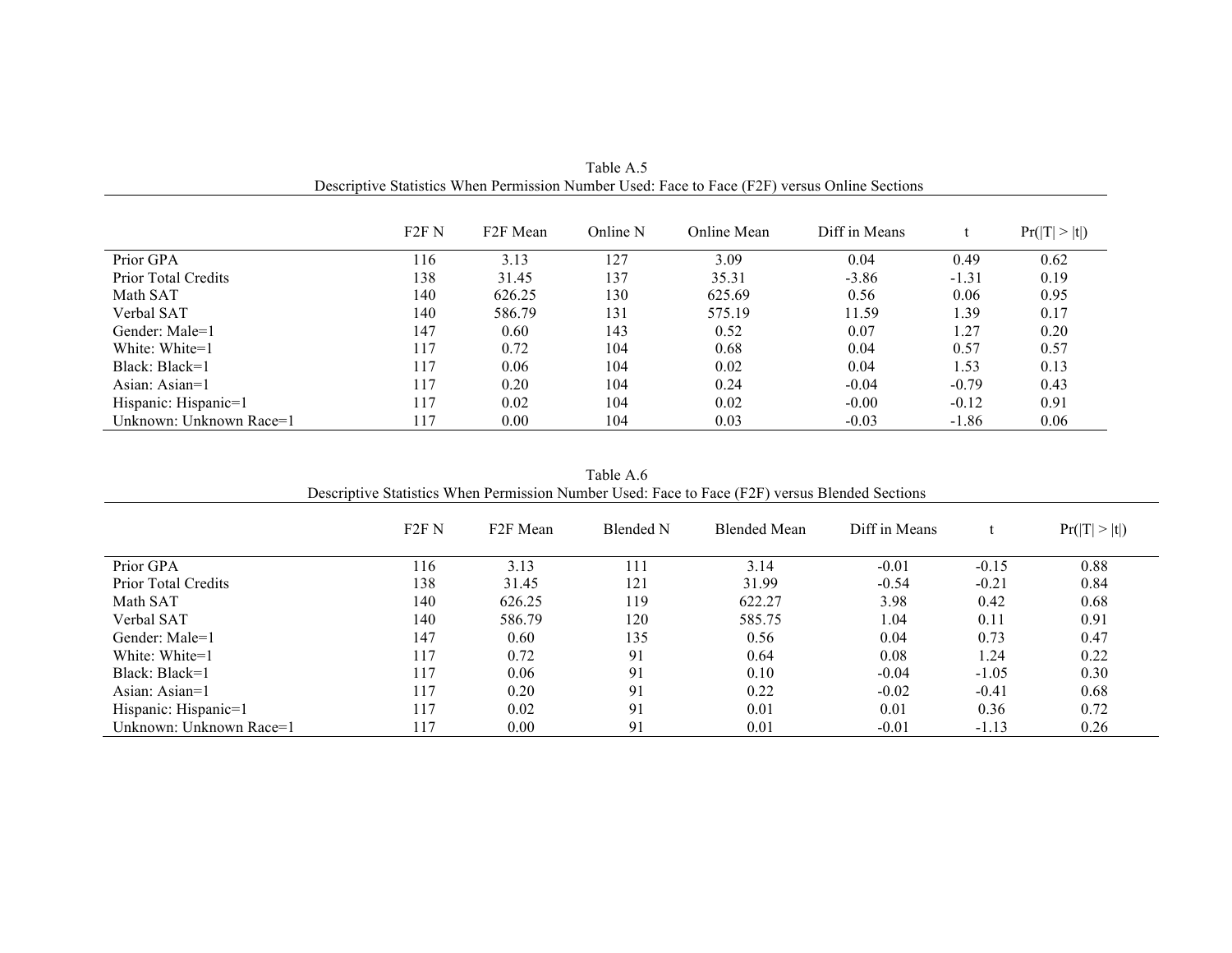|                            | F2F N | F <sub>2</sub> F Mean | Online N | Online Mean | Diff in Means |         | Pr( T  >  t ) |
|----------------------------|-------|-----------------------|----------|-------------|---------------|---------|---------------|
| Prior GPA                  | 116   | 3.13                  | 127      | 3.09        | 0.04          | 0.49    | 0.62          |
| <b>Prior Total Credits</b> | 138   | 31.45                 | 137      | 35.31       | $-3.86$       | $-1.31$ | 0.19          |
| Math SAT                   | 140   | 626.25                | 130      | 625.69      | 0.56          | 0.06    | 0.95          |
| Verbal SAT                 | 140   | 586.79                | 131      | 575.19      | 11.59         | 1.39    | 0.17          |
| Gender: Male=1             | 147   | 0.60                  | 143      | 0.52        | 0.07          | 1.27    | 0.20          |
| White: White=1             | 117   | 0.72                  | 104      | 0.68        | 0.04          | 0.57    | 0.57          |
| Black: Black=1             | 117   | 0.06                  | 104      | 0.02        | 0.04          | 1.53    | 0.13          |
| Asian: $\text{Asian=1}$    | 117   | 0.20                  | 104      | 0.24        | $-0.04$       | $-0.79$ | 0.43          |
| Hispanic: Hispanic=1       | 117   | 0.02                  | 104      | 0.02        | $-0.00$       | $-0.12$ | 0.91          |
| Unknown: Unknown Race=1    | 117   | 0.00                  | 104      | 0.03        | $-0.03$       | $-1.86$ | 0.06          |

Table A.5 Descriptive Statistics When Permission Number Used: Face to Face (F2F) versus Online Sections

| 1 UUIV 1 1.V<br>Descriptive Statistics When Permission Number Used: Face to Face (F2F) versus Blended Sections |                   |                      |           |                     |               |         |               |  |
|----------------------------------------------------------------------------------------------------------------|-------------------|----------------------|-----------|---------------------|---------------|---------|---------------|--|
|                                                                                                                | F <sub>2F</sub> N | F <sub>2F</sub> Mean | Blended N | <b>Blended Mean</b> | Diff in Means |         | Pr( T  >  t ) |  |
| Prior GPA                                                                                                      | 116               | 3.13                 | 111       | 3.14                | $-0.01$       | $-0.15$ | 0.88          |  |
| <b>Prior Total Credits</b>                                                                                     | 138               | 31.45                | 121       | 31.99               | $-0.54$       | $-0.21$ | 0.84          |  |
| Math SAT                                                                                                       | 140               | 626.25               | 119       | 622.27              | 3.98          | 0.42    | 0.68          |  |
| Verbal SAT                                                                                                     | 140               | 586.79               | 120       | 585.75              | 1.04          | 0.11    | 0.91          |  |
| Gender: Male=1                                                                                                 | 147               | 0.60                 | 135       | 0.56                | 0.04          | 0.73    | 0.47          |  |
| White: White=1                                                                                                 | 117               | 0.72                 | 91        | 0.64                | 0.08          | 1.24    | 0.22          |  |
| Black: Black=1                                                                                                 | 117               | 0.06                 | 91        | 0.10                | $-0.04$       | $-1.05$ | 0.30          |  |
| Asian: $\text{Asian=1}$                                                                                        | 117               | 0.20                 | 91        | 0.22                | $-0.02$       | $-0.41$ | 0.68          |  |
| Hispanic: Hispanic=1                                                                                           | 117               | 0.02                 | 91        | 0.01                | 0.01          | 0.36    | 0.72          |  |
| Unknown: Unknown Race=1                                                                                        | 117               | 0.00                 | 91        | 0.01                | $-0.01$       | $-1.13$ | 0.26          |  |

Table A.6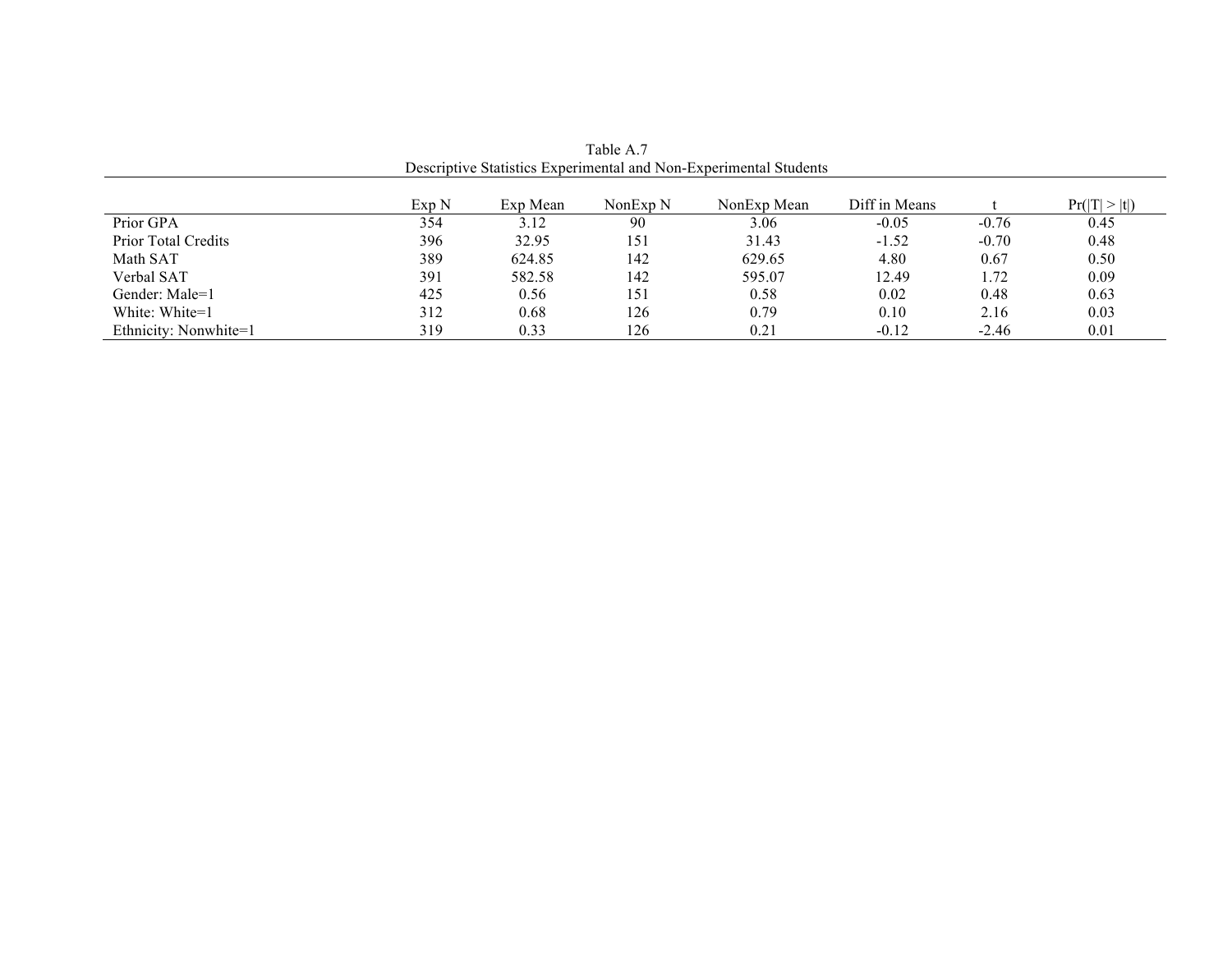|                            | Exp N | Exp Mean | NonExp <sub>N</sub> | NonExp Mean | Diff in Means |         | Pr( T  >  t ) |
|----------------------------|-------|----------|---------------------|-------------|---------------|---------|---------------|
| Prior GPA                  | 354   | 3.12     | 90                  | 3.06        | $-0.05$       | $-0.76$ | 0.45          |
| <b>Prior Total Credits</b> | 396   | 32.95    | 151                 | 31.43       | $-1.52$       | $-0.70$ | 0.48          |
| Math SAT                   | 389   | 624.85   | 142                 | 629.65      | 4.80          | 0.67    | 0.50          |
| Verbal SAT                 | 391   | 582.58   | 142                 | 595.07      | 12.49         | 1.72    | 0.09          |
| Gender: Male=1             | 425   | 0.56     | 151                 | 0.58        | 0.02          | 0.48    | 0.63          |
| White: White=1             | 312   | 0.68     | 126                 | 0.79        | 0.10          | 2.16    | 0.03          |
| Ethnicity: Nonwhite=1      | 319   | 0.33     | 126                 | 0.21        | $-0.12$       | $-2.46$ | 0.01          |

Table A.7 Descriptive Statistics Experimental and Non-Experimental Students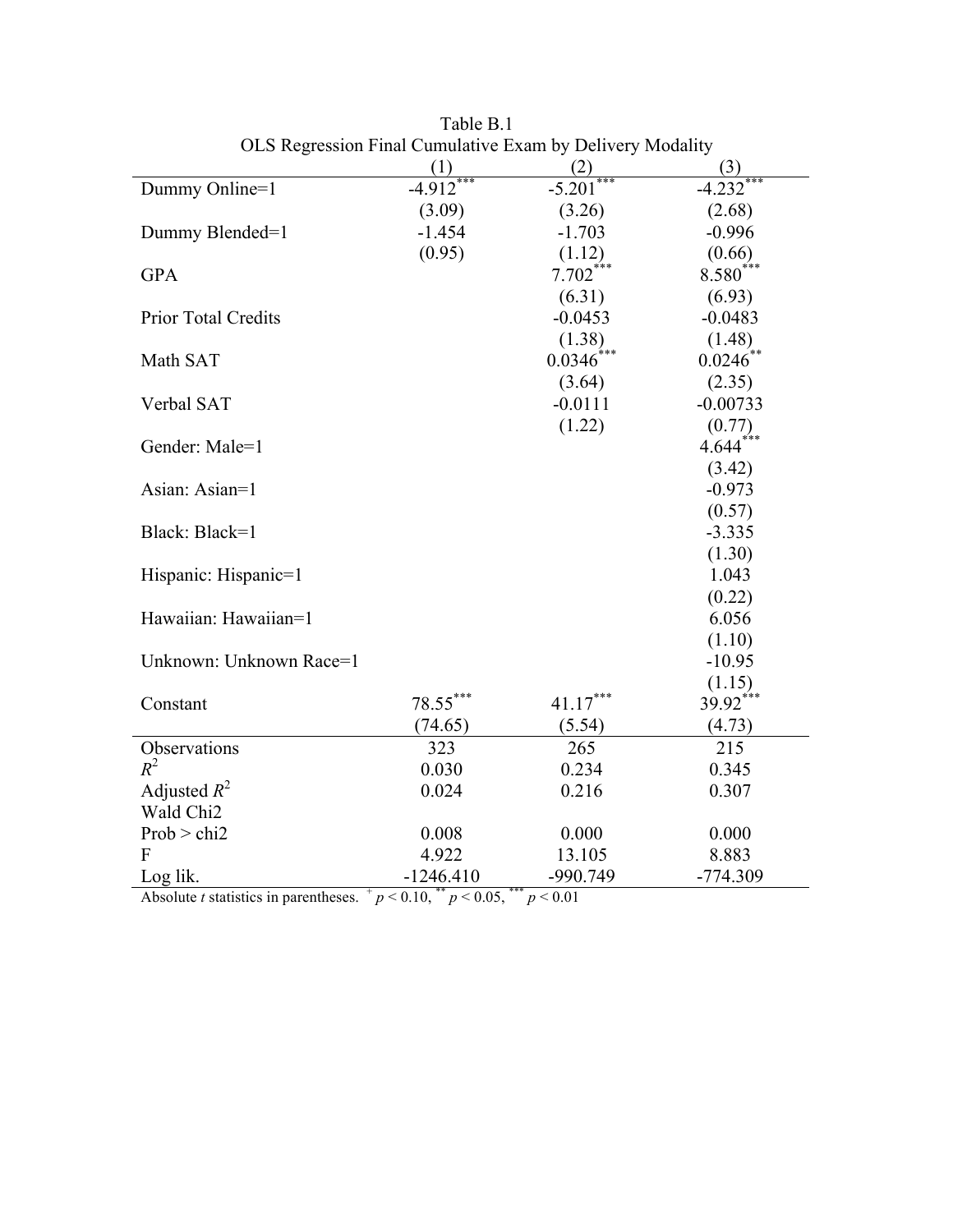|                            | (1)         | (2)                    | (3)                    |
|----------------------------|-------------|------------------------|------------------------|
| Dummy Online=1             | $-4.912$    | $-5.201$               | $-4.232$               |
|                            | (3.09)      | (3.26)                 | (2.68)                 |
| Dummy Blended=1            | $-1.454$    | $-1.703$               | $-0.996$               |
|                            | (0.95)      | (1.12)                 | (0.66)                 |
| <b>GPA</b>                 |             | $7.702$ <sup>***</sup> | $8.580$ <sup>***</sup> |
|                            |             | (6.31)                 | (6.93)                 |
| <b>Prior Total Credits</b> |             | $-0.0453$              | $-0.0483$              |
|                            |             | (1.38)                 | (1.48)                 |
| Math SAT                   |             | 0.0346                 | $0.0246^{**}$          |
|                            |             | (3.64)                 | (2.35)                 |
| Verbal SAT                 |             | $-0.0111$              | $-0.00733$             |
|                            |             | (1.22)                 | (0.77)                 |
| Gender: Male=1             |             |                        | $4.644***$             |
|                            |             |                        | (3.42)                 |
| Asian: Asian=1             |             |                        | $-0.973$               |
|                            |             |                        | (0.57)                 |
| Black: Black=1             |             |                        | $-3.335$               |
|                            |             |                        | (1.30)                 |
| Hispanic: Hispanic=1       |             |                        | 1.043                  |
|                            |             |                        | (0.22)                 |
| Hawaiian: Hawaiian=1       |             |                        | 6.056                  |
|                            |             |                        | (1.10)                 |
| Unknown: Unknown Race=1    |             |                        | $-10.95$               |
|                            |             |                        | (1.15)                 |
| Constant                   | $78.55***$  | $41.17***$             | $39.92***$             |
|                            | (74.65)     | (5.54)                 | (4.73)                 |
| Observations               | 323         | 265                    | 215                    |
| $R^2$                      | 0.030       | 0.234                  | 0.345                  |
| Adjusted $R^2$             | 0.024       | 0.216                  | 0.307                  |
| Wald Chi2                  |             |                        |                        |
| Prob > chi2                | 0.008       | 0.000                  | 0.000                  |
| F                          | 4.922       | 13.105                 | 8.883                  |
| Log lik.                   | $-1246.410$ | -990.749               | $-774.309$             |

Table B.1 OLS Regression Final Cumulative Exam by Delivery Modality

Absolute *t* statistics in parentheses.  $p < 0.10$ ,  $\frac{p}{p} < 0.05$ ,  $\frac{p}{p} < 0.01$